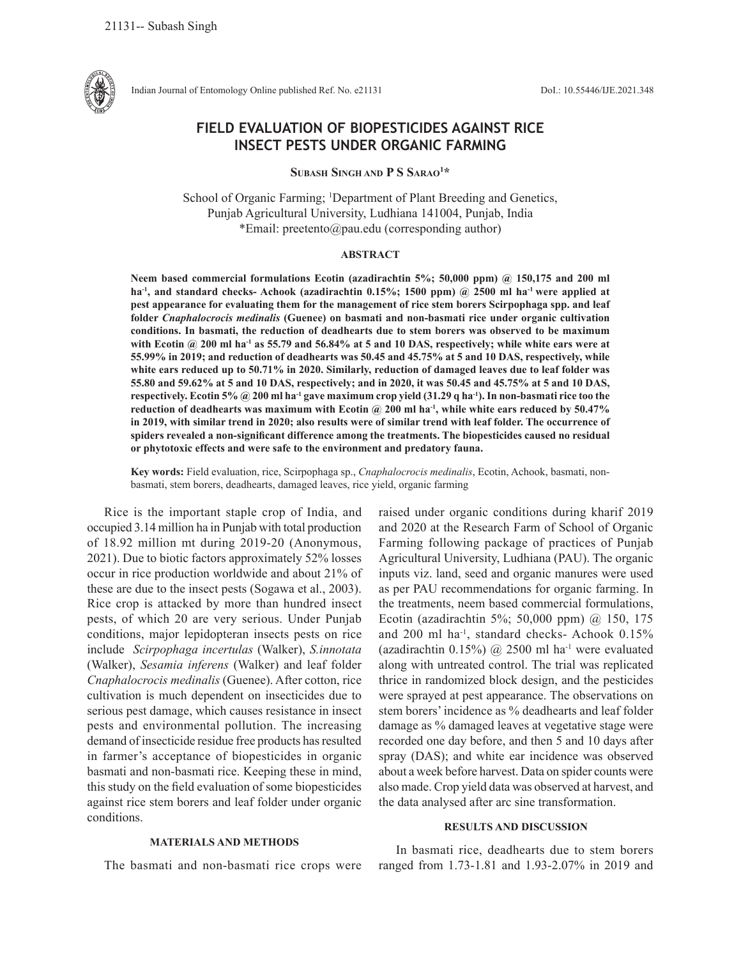

Indian Journal of Entomology Online published Ref. No. e21131 DoI.: 10.55446/IJE.2021.348

# **FIELD EVALUATION OF BIOPESTICIDES AGAINST RICE INSECT PESTS UNDER ORGANIC FARMING**

**Subash Singh and P S Sarao1 \***

School of Organic Farming; <sup>1</sup>Department of Plant Breeding and Genetics, Punjab Agricultural University, Ludhiana 141004, Punjab, India \*Email: preetento@pau.edu (corresponding author)

#### **ABSTRACT**

**Neem based commercial formulations Ecotin (azadirachtin 5%; 50,000 ppm) @ 150,175 and 200 ml ha-1, and standard checks- Achook (azadirachtin 0.15%; 1500 ppm) @ 2500 ml ha-1 were applied at pest appearance for evaluating them for the management of rice stem borers Scirpophaga spp. and leaf folder** *Cnaphalocrocis medinalis* **(Guenee) on basmati and non-basmati rice under organic cultivation conditions. In basmati, the reduction of deadhearts due to stem borers was observed to be maximum**  with Ecotin @ 200 ml ha<sup>-1</sup> as 55.79 and 56.84% at 5 and 10 DAS, respectively; while white ears were at **55.99% in 2019; and reduction of deadhearts was 50.45 and 45.75% at 5 and 10 DAS, respectively, while white ears reduced up to 50.71% in 2020. Similarly, reduction of damaged leaves due to leaf folder was 55.80 and 59.62% at 5 and 10 DAS, respectively; and in 2020, it was 50.45 and 45.75% at 5 and 10 DAS, respectively. Ecotin 5% @ 200 ml ha-1 gave maximum crop yield (31.29 q ha-1). In non-basmati rice too the reduction of deadhearts was maximum with Ecotin @ 200 ml ha-1, while white ears reduced by 50.47% in 2019, with similar trend in 2020; also results were of similar trend with leaf folder. The occurrence of spiders revealed a non-significant difference among the treatments. The biopesticides caused no residual or phytotoxic effects and were safe to the environment and predatory fauna.** 

**Key words:** Field evaluation, rice, Scirpophaga sp., *Cnaphalocrocis medinalis*, Ecotin, Achook, basmati, nonbasmati, stem borers, deadhearts, damaged leaves, rice yield, organic farming

Rice is the important staple crop of India, and occupied 3.14 million ha in Punjab with total production of 18.92 million mt during 2019-20 (Anonymous, 2021). Due to biotic factors approximately 52% losses occur in rice production worldwide and about 21% of these are due to the insect pests (Sogawa et al., 2003). Rice crop is attacked by more than hundred insect pests, of which 20 are very serious. Under Punjab conditions, major lepidopteran insects pests on rice include *Scirpophaga incertulas* (Walker), *S.innotata*  (Walker), *Sesamia inferens* (Walker) and leaf folder *Cnaphalocrocis medinalis* (Guenee). After cotton, rice cultivation is much dependent on insecticides due to serious pest damage, which causes resistance in insect pests and environmental pollution. The increasing demand of insecticide residue free products has resulted in farmer's acceptance of biopesticides in organic basmati and non-basmati rice. Keeping these in mind, this study on the field evaluation of some biopesticides against rice stem borers and leaf folder under organic conditions.

## **MATERIALS AND METHODS**

The basmati and non-basmati rice crops were

raised under organic conditions during kharif 2019 and 2020 at the Research Farm of School of Organic Farming following package of practices of Punjab Agricultural University, Ludhiana (PAU). The organic inputs viz. land, seed and organic manures were used as per PAU recommendations for organic farming. In the treatments, neem based commercial formulations, Ecotin (azadirachtin 5%; 50,000 ppm) @ 150, 175 and 200 ml ha-1, standard checks- Achook 0.15% (azadirachtin 0.15%)  $\omega$  2500 ml ha<sup>-1</sup> were evaluated along with untreated control. The trial was replicated thrice in randomized block design, and the pesticides were sprayed at pest appearance. The observations on stem borers' incidence as % deadhearts and leaf folder damage as % damaged leaves at vegetative stage were recorded one day before, and then 5 and 10 days after spray (DAS); and white ear incidence was observed about a week before harvest. Data on spider counts were also made. Crop yield data was observed at harvest, and the data analysed after arc sine transformation.

### **RESULTS AND DISCUSSION**

In basmati rice, deadhearts due to stem borers ranged from 1.73-1.81 and 1.93-2.07% in 2019 and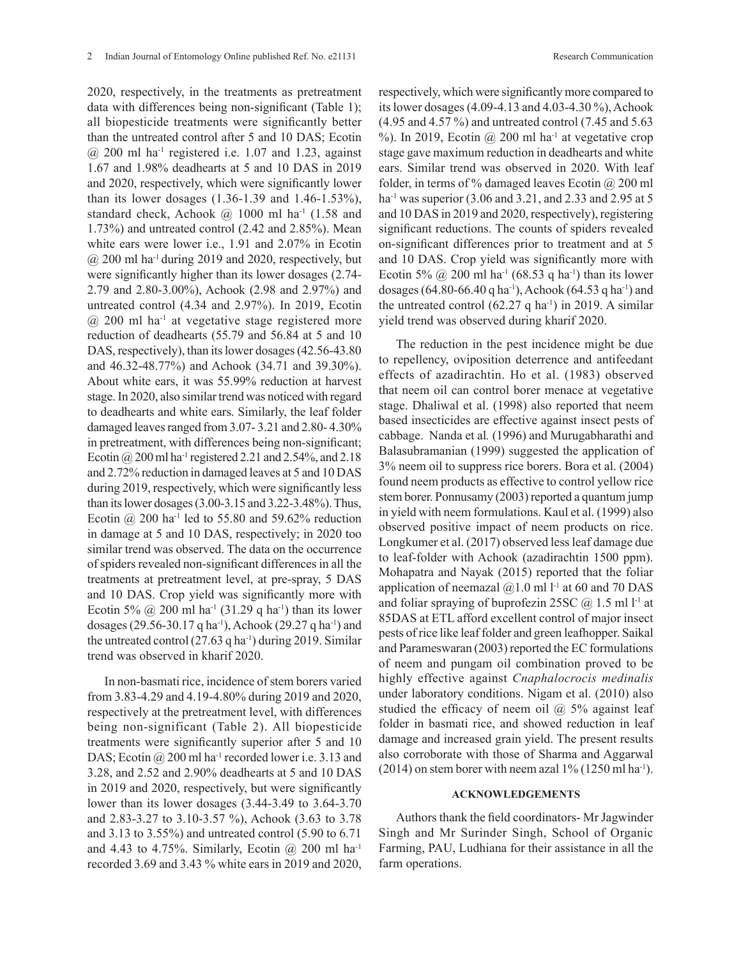2020, respectively, in the treatments as pretreatment data with differences being non-significant (Table 1); all biopesticide treatments were significantly better than the untreated control after 5 and 10 DAS; Ecotin  $\omega$  200 ml ha<sup>-1</sup> registered i.e. 1.07 and 1.23, against 1.67 and 1.98% deadhearts at 5 and 10 DAS in 2019 and 2020, respectively, which were significantly lower than its lower dosages (1.36-1.39 and 1.46-1.53%), standard check, Achook  $\omega$  1000 ml ha<sup>-1</sup> (1.58 and 1.73%) and untreated control (2.42 and 2.85%). Mean white ears were lower i.e., 1.91 and 2.07% in Ecotin  $\omega$  200 ml ha<sup>-1</sup> during 2019 and 2020, respectively, but were significantly higher than its lower dosages (2.74- 2.79 and 2.80-3.00%), Achook (2.98 and 2.97%) and untreated control (4.34 and 2.97%). In 2019, Ecotin  $(a)$  200 ml ha<sup>-1</sup> at vegetative stage registered more reduction of deadhearts (55.79 and 56.84 at 5 and 10 DAS, respectively), than its lower dosages (42.56-43.80 and 46.32-48.77%) and Achook (34.71 and 39.30%). About white ears, it was 55.99% reduction at harvest stage. In 2020, also similar trend was noticed with regard to deadhearts and white ears. Similarly, the leaf folder damaged leaves ranged from 3.07- 3.21 and 2.80- 4.30% in pretreatment, with differences being non-significant; Ecotin  $\omega$  200 ml ha<sup>-1</sup> registered 2.21 and 2.54%, and 2.18 and 2.72% reduction in damaged leaves at 5 and 10 DAS during 2019, respectively, which were significantly less than its lower dosages (3.00-3.15 and 3.22-3.48%). Thus, Ecotin @ 200 ha<sup>-1</sup> led to 55.80 and 59.62% reduction in damage at 5 and 10 DAS, respectively; in 2020 too similar trend was observed. The data on the occurrence of spiders revealed non-significant differences in all the treatments at pretreatment level, at pre-spray, 5 DAS and 10 DAS. Crop yield was significantly more with Ecotin 5%  $\omega$  200 ml ha<sup>-1</sup> (31.29 q ha<sup>-1</sup>) than its lower dosages (29.56-30.17 q ha<sup>-1</sup>), Achook (29.27 q ha<sup>-1</sup>) and the untreated control  $(27.63 \text{ q ha}^{-1})$  during 2019. Similar trend was observed in kharif 2020.

In non-basmati rice, incidence of stem borers varied from 3.83-4.29 and 4.19-4.80% during 2019 and 2020, respectively at the pretreatment level, with differences being non-significant (Table 2). All biopesticide treatments were significantly superior after 5 and 10 DAS; Ecotin @ 200 ml ha<sup>-1</sup> recorded lower i.e. 3.13 and 3.28, and 2.52 and 2.90% deadhearts at 5 and 10 DAS in 2019 and 2020, respectively, but were significantly lower than its lower dosages (3.44-3.49 to 3.64-3.70 and 2.83-3.27 to 3.10-3.57 %), Achook (3.63 to 3.78 and 3.13 to 3.55%) and untreated control (5.90 to 6.71 and 4.43 to 4.75%. Similarly, Ecotin  $\omega$  200 ml ha<sup>-1</sup> recorded 3.69 and 3.43 % white ears in 2019 and 2020, respectively, which were significantly more compared to its lower dosages (4.09-4.13 and 4.03-4.30 %), Achook (4.95 and 4.57 %) and untreated control (7.45 and 5.63 %). In 2019, Ecotin  $\omega$  200 ml ha<sup>-1</sup> at vegetative crop stage gave maximum reduction in deadhearts and white ears. Similar trend was observed in 2020. With leaf folder, in terms of % damaged leaves Ecotin  $\omega$  200 ml ha<sup>-1</sup> was superior (3.06 and 3.21, and 2.33 and 2.95 at 5 and 10 DAS in 2019 and 2020, respectively), registering significant reductions. The counts of spiders revealed on-significant differences prior to treatment and at 5 and 10 DAS. Crop yield was significantly more with Ecotin 5%  $\omega$  200 ml ha<sup>-1</sup> (68.53 q ha<sup>-1</sup>) than its lower dosages (64.80-66.40 q ha<sup>-1</sup>), Achook (64.53 q ha<sup>-1</sup>) and the untreated control  $(62.27 \text{ q ha}^{-1})$  in 2019. A similar yield trend was observed during kharif 2020.

The reduction in the pest incidence might be due to repellency, oviposition deterrence and antifeedant effects of azadirachtin. Ho et al. (1983) observed that neem oil can control borer menace at vegetative stage. Dhaliwal et al. (1998) also reported that neem based insecticides are effective against insect pests of cabbage. Nanda et al*.* (1996) and Murugabharathi and Balasubramanian (1999) suggested the application of 3% neem oil to suppress rice borers. Bora et al. (2004) found neem products as effective to control yellow rice stem borer. Ponnusamy (2003) reported a quantum jump in yield with neem formulations. Kaul et al. (1999) also observed positive impact of neem products on rice. Longkumer et al. (2017) observed less leaf damage due to leaf-folder with Achook (azadirachtin 1500 ppm). Mohapatra and Nayak (2015) reported that the foliar application of neemazal  $(2, 1.0 \text{ ml})$  at 60 and 70 DAS and foliar spraying of buprofezin 25SC  $(a)$  1.5 ml l<sup>-1</sup> at 85DAS at ETL afford excellent control of major insect pests of rice like leaf folder and green leafhopper. Saikal and Parameswaran (2003) reported the EC formulations of neem and pungam oil combination proved to be highly effective against *Cnaphalocrocis medinalis* under laboratory conditions. Nigam et al. (2010) also studied the efficacy of neem oil  $\omega$  5% against leaf folder in basmati rice, and showed reduction in leaf damage and increased grain yield. The present results also corroborate with those of Sharma and Aggarwal  $(2014)$  on stem borer with neem azal 1%  $(1250 \text{ ml ha}^{-1})$ .

#### **ACKNOWLEDGEMENTS**

Authors thank the field coordinators- Mr Jagwinder Singh and Mr Surinder Singh, School of Organic Farming, PAU, Ludhiana for their assistance in all the farm operations.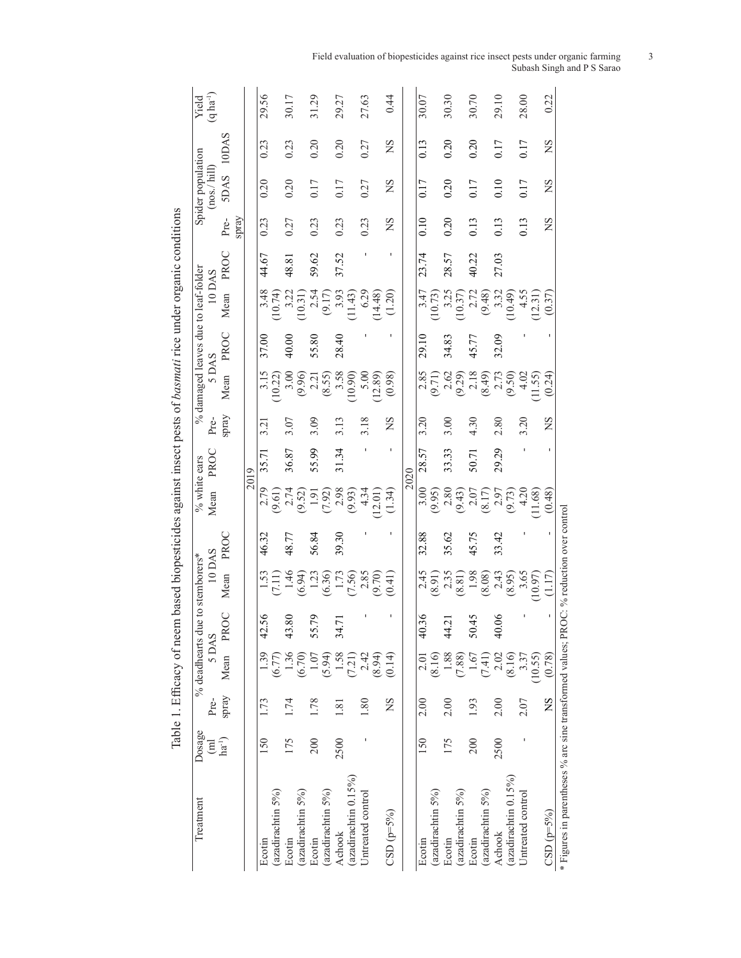| Dosage<br>$\overline{E}$ | Pre-  | % deadhearts due to stemborers*<br>5 DAS |           | 10 DAS                                                                    |       | % white ears<br>Mean  | PROC  | $\rm Pre$ | % damaged leaves due to leaf-folder<br>5 DAS |       | 10 DAS                                                            |       |                   | Spider population<br>$\left(\text{nos.}/\text{hill}\right)$ |       | Yield<br>(q ha <sup>-1</sup> ) |
|--------------------------|-------|------------------------------------------|-----------|---------------------------------------------------------------------------|-------|-----------------------|-------|-----------|----------------------------------------------|-------|-------------------------------------------------------------------|-------|-------------------|-------------------------------------------------------------|-------|--------------------------------|
| $ha^{-1}$                | spray | Mean                                     | PROC      | Mean                                                                      | PROC  |                       |       | spray     | Mean                                         | PROC  | Mean                                                              | PROC  | spray<br>Pre-     | <b>SDAS</b>                                                 | 10DAS |                                |
|                          |       |                                          |           |                                                                           |       |                       | 2019  |           |                                              |       |                                                                   |       |                   |                                                             |       |                                |
| 150                      | 1.73  | 1.39                                     | 42.56     |                                                                           | 46.32 | 2.79                  | 35.71 | 3.21      |                                              | 37.00 |                                                                   | 44.67 | 0.23              | 0.20                                                        | 0.23  | 29.56                          |
|                          |       | (6.77)                                   |           | (7.11)                                                                    |       | (9.61)                |       |           | $\frac{3.15}{10.22}$                         |       | $\begin{array}{c} 3.48 \\ (10.74) \\ 3.22 \\ (10.31) \end{array}$ |       |                   |                                                             |       |                                |
| 175                      | 1.74  | 1.36                                     | 80<br>43. | 1.46                                                                      | 48.77 | $2.74$<br>(9.52)      | 36.87 | 3.07      | 3.00                                         | 40.00 |                                                                   | 48.81 | 0.27              | 0.20                                                        | 0.23  | 30.17                          |
|                          |       | (6.70)                                   |           | $\begin{array}{c} (6.94) \\ 1.23 \\ (6.36) \\ 1.73 \\ (7.50) \end{array}$ |       |                       |       |           | (9.96)                                       |       |                                                                   |       |                   |                                                             |       |                                |
| 200                      | 1.78  | 1.07                                     | 56<br>55. |                                                                           | 56.84 |                       | 55.99 | 3.09      | 2.21                                         | 55.80 |                                                                   | 59.62 | 0.23              | 0.17                                                        | 0.20  | 31.29                          |
|                          |       | (5.94)                                   |           |                                                                           |       | (7.92)                |       |           | (8.55)                                       |       | $2.54$<br>(9.17)                                                  |       |                   |                                                             |       |                                |
| 2500                     | 1.81  | 1.58                                     | 34.71     |                                                                           | 39.30 |                       | 31.34 | 3.13      | 3.58                                         | 28.40 |                                                                   | 37.52 | 0.23              | 0.17                                                        | 0.20  | 29.27                          |
|                          |       | (7.21)                                   |           |                                                                           |       | $\frac{2.98}{(9.93)}$ |       |           | 10.90)                                       |       | (11.43)                                                           |       |                   |                                                             |       |                                |
|                          | 1.80  | 2.42                                     |           |                                                                           |       | 4.34                  |       | 3.18      | 5.00                                         |       |                                                                   |       | 0.23              | 0.27                                                        | 0.27  | 27.63                          |
|                          |       | (8.94)                                   |           | (9.70)                                                                    |       | 12.01)                |       |           | 12.89)                                       |       | (14.48)                                                           |       |                   |                                                             |       |                                |
|                          | ΧŠ    | (0.14)                                   |           | (0.41)                                                                    |       | (1.34)                |       | ΧŠ        | (0.98)                                       |       | (1.20)                                                            |       | ΧŠ                | SN                                                          | ΧŠ    | 0.44                           |
|                          |       |                                          |           |                                                                           |       |                       | 2020  |           |                                              |       |                                                                   |       |                   |                                                             |       |                                |
| 150                      | 2.00  | 2.01                                     | 40.36     | 2.45                                                                      | 32.88 | 3.00                  | 28.57 | 3.20      |                                              | 29.10 |                                                                   | 23.74 | $\overline{0.10}$ | 0.17                                                        | 0.13  | 30.07                          |
|                          |       | (8.16)                                   |           | (8.91)                                                                    |       | (9.95)                |       |           | $\frac{2.85}{(9.71)}$                        |       | $3.47$<br>(10.73)<br>3.25<br>3.25<br>(10.37)                      |       |                   |                                                             |       |                                |
| 175                      | 2.00  | 1.88                                     | 44.21     | 2.35                                                                      | 35.62 | 2.80                  | 33.33 | 3.00      | 2.62                                         | 34.83 |                                                                   | 28.57 | 0.20              | 0.20                                                        | 0.20  | 30.30                          |
|                          |       | (7.88)                                   |           | (8.81)                                                                    |       | (9.43)                |       |           | (9.29)                                       |       |                                                                   |       |                   |                                                             |       |                                |
| 200                      | 1.93  | 1.67                                     | 50.45     |                                                                           | 45.75 |                       | 50.71 | 4.30      |                                              | 45.77 |                                                                   | 40.22 | 0.13              | 0.17                                                        | 0.20  | 30.70                          |
|                          |       | (7.41)                                   |           | $\begin{array}{c} 1.98 \\ 8.08 \end{array}$                               |       | $\frac{2.07}{(8.17)}$ |       |           | $\frac{2.18}{(8.49)}$                        |       | $2.72$<br>(9.48)                                                  |       |                   |                                                             |       |                                |
| 2500                     | 2.00  | 2.02                                     | 40.06     | $2.43$<br>(8.95)                                                          | 33.42 | (9.73)                | 29.29 | 2.80      | 2.73<br>(9.50)                               | 32.09 | 3.32<br>10.49)                                                    | 27.03 | 0.13              | 0.10                                                        | 0.17  | 29.10                          |
|                          |       | (8.16)                                   |           |                                                                           |       |                       |       |           |                                              |       |                                                                   |       |                   |                                                             |       |                                |
|                          | 2.07  | 3.37                                     |           | 3.65                                                                      |       | 4.20                  |       | 3.20      | 4.02                                         |       |                                                                   |       | 0.13              | 0.17                                                        | 0.17  | 28.00                          |
|                          |       | (10.55)                                  |           | (10.97)                                                                   |       | 11.68)                |       |           | 11.55)                                       |       | $\frac{4.55}{12.31}$                                              |       |                   |                                                             |       |                                |
|                          | SN    | (0.78)                                   |           | (1.17)                                                                    |       | (0.48)                |       | SN        | (0.24)                                       |       | (0.37)                                                            |       | SN                | SN                                                          | SN    | 0.22                           |

Field evaluation of biopesticides against rice insect pests under organic farming 3 Subash Singh and P S Sarao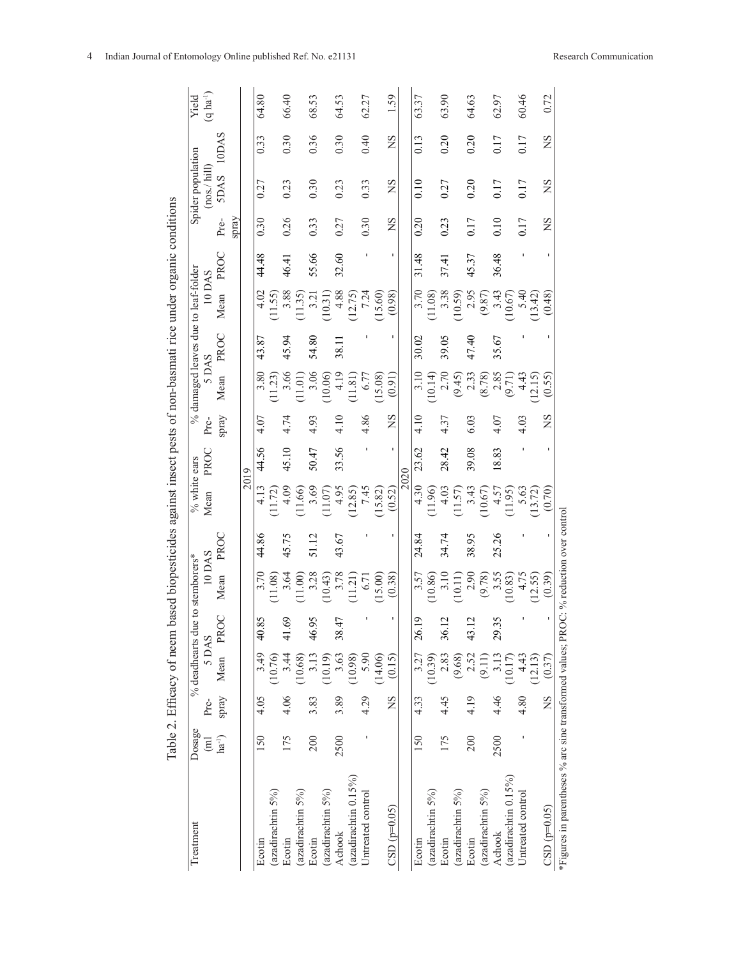|                                                                                       |                          |           | Table 2. Efficacy of neem |                        | based biopesticides against insect pests of non-basmati rice under organic conditions |       |                      |       |       |                                              |       |                       |       |             |                                  |       |                           |
|---------------------------------------------------------------------------------------|--------------------------|-----------|---------------------------|------------------------|---------------------------------------------------------------------------------------|-------|----------------------|-------|-------|----------------------------------------------|-------|-----------------------|-------|-------------|----------------------------------|-------|---------------------------|
| Treatment                                                                             | Dosage<br>$\overline{E}$ | Pre-      | 5 DAS                     |                        | 10 DAS<br>% deadhearts due to stemborers*                                             |       | % white ears<br>Mean | PROC  | Pre-  | % damaged leaves due to leaf-folder<br>5 DAS |       | 10 DAS                |       |             | Spider population<br>(nos./hill) |       | $(q \, ha^{-1})$<br>Yield |
|                                                                                       | $ha^{-1}$                | Spray     | Mean                      | PROC                   | Mean                                                                                  | PROC  |                      |       | spray | Mean                                         | PROC  | Mean                  | PROC  | Pre-        | <b>SDAS</b>                      | 10DAS |                           |
|                                                                                       |                          |           |                           |                        |                                                                                       |       |                      |       |       |                                              |       |                       |       | spray       |                                  |       |                           |
|                                                                                       |                          |           |                           |                        |                                                                                       |       |                      | 2019  |       |                                              |       |                       |       |             |                                  |       |                           |
| Ecotin                                                                                | 150                      | 4.05      | 3.49                      | 40.85                  | 3.70                                                                                  | 44.86 | 4.13                 | 44.56 | 4.07  | 3.80                                         | 43.87 | 4.02                  | 44.48 | 0.30        | 0.27                             | 0.33  | 64.80                     |
| (azadirachtin 5%)                                                                     |                          |           | (10.76)                   |                        | 11.08)                                                                                |       | (11.72)              |       |       | (11.23)                                      |       | (11.55)               |       |             |                                  |       |                           |
| Ecotin                                                                                | 175                      | 4.06      | 3.44                      | 41.69                  | 3.64                                                                                  | 45.75 | 4.09                 | 45.10 | 4.74  | 3.66                                         | 45.94 | 3.88                  | 46.41 | 0.26        | 0.23                             | 0.30  | 66.40                     |
| (azadirachtin 5%)                                                                     |                          |           | (10.68)                   |                        | (11.00)                                                                               |       | 11.66)               |       |       | 11.01                                        |       | (11.35)               |       |             |                                  |       |                           |
| Ecotin                                                                                | 200                      | 3.83      | 3.13                      | ᠊<br>46.9              | 3.28                                                                                  | 51.12 | 3.69                 | 50.47 | 4.93  | 3.06                                         | 54.80 | 3.21                  | 55.66 | 0.33        | 0.30                             | 0.36  | 68.53                     |
| (azadirachtin 5%)                                                                     |                          |           | (10.19)                   |                        | 10.43                                                                                 |       | 11.07                |       |       | (10.06)                                      |       | (10.31)               |       |             |                                  |       |                           |
| Achook                                                                                | 2500                     | 3.89      | 3.63                      | 38.47                  | 3.78                                                                                  | 43.67 | 4.95                 | 33.56 | 4.10  | 4.19                                         | 38.11 | 4.88                  | 32.60 | 0.27        | 0.23                             | 0.30  | 64.53                     |
| (azadirachtin 0.15%)                                                                  |                          |           | (10.98)                   |                        | (11.21)                                                                               |       | 12.85)               |       |       | 11.81                                        |       | (12.75)               |       |             |                                  |       |                           |
| Untreated control                                                                     |                          | 4.29      | 5.90                      | J.                     | 6.71                                                                                  |       | 7.45                 |       | 4.86  | 6.77                                         |       | 7.24                  |       | 0.30        | 0.33                             | 0.40  | 62.27                     |
|                                                                                       |                          |           | (14.06)                   |                        | (15.00)                                                                               |       | (15.82)              |       |       | (15.08)                                      |       | (15.60)               |       |             |                                  |       |                           |
| $CSD(p=0.05)$                                                                         |                          | SN        | (0.15)                    | ı,                     | (0.38)                                                                                | ٠     | (0.52)               | ı     | SN    | (0.91)                                       |       | (0.98)                | J.    | $_{\rm NS}$ | $_{\rm NS}$                      | SN    | 1.59                      |
|                                                                                       |                          |           |                           |                        |                                                                                       |       |                      | 2020  |       |                                              |       |                       |       |             |                                  |       |                           |
| Ecotin                                                                                | 150                      | 4.33      | 3.27                      | $\overline{0}$<br>26.1 | 3.57                                                                                  | 24.84 | 4.30                 | 23.62 | 4.10  | 3.10                                         | 30.02 | 3.70                  | 31.48 | 0.20        | 0.10                             | 0.13  | 63.37                     |
| (azadirachtin 5%)                                                                     |                          |           | (10.39)                   |                        | 10.86)                                                                                |       | 11.96)               |       |       | (10.14)                                      |       | (11.08)               |       |             |                                  |       |                           |
| Ecotin                                                                                | 175                      | 4.45      | 2.83                      | $\mathbf 2$<br>36.1    | 3.10                                                                                  | 34.74 | 4.03                 | 28.42 | 4.37  | 2.70                                         | 39.05 | 3.38                  | 37.41 | 0.23        | 0.27                             | 0.20  | 63.90                     |
| (azadirachtin 5%)                                                                     |                          |           | (9.68)                    |                        | (10.11)                                                                               |       | 11.57                |       |       | (9.45)                                       |       | (10.59)               |       |             |                                  |       |                           |
| Ecotin                                                                                | 200                      | 4.19      | 2.52                      | $\mathbf 2$<br>43.1    | 2.90                                                                                  | 38.95 | 3.43                 | 39.08 | 6.03  | 2.33                                         | 47.40 |                       | 45.37 | 0.17        | 0.20                             | 0.20  | 64.63                     |
| (azadirachtin 5%)                                                                     |                          |           | (9.11)                    |                        | (9.78)                                                                                |       | (10.67)              |       |       | (8.78)                                       |       | $\frac{2.95}{(9.87)}$ |       |             |                                  |       |                           |
| Achook                                                                                | 2500                     | 4.46      | 3.13                      | 5<br>29.3              | 3.55                                                                                  | 25.26 | 4.57                 | 18.83 | 4.07  |                                              | 35.67 |                       | 36.48 | 0.10        | 0.17                             | 0.17  | 62.97                     |
| (azadirachtin 0.15%)                                                                  |                          |           | (10.17)                   |                        | 10.83)                                                                                |       | 11.95)               |       |       | $\frac{2.85}{(9.71)}$                        |       | $3.43$<br>10.67)      |       |             |                                  |       |                           |
| Untreated control                                                                     |                          | 4.80      | 4.43                      |                        | 4.75                                                                                  |       | 5.63                 |       | 4.03  | 4.43                                         |       | 5.40                  |       | 0.17        | 0.17                             | 0.17  | 60.46                     |
|                                                                                       |                          |           | (12.13)                   |                        | (12.55)                                                                               |       | (13.72)              |       |       | 12.15                                        |       | (13.42)               |       |             |                                  |       |                           |
| $CSD(p=0.05)$                                                                         |                          | <b>SN</b> | (0.37)                    | ı                      | (0.39)                                                                                |       | (0.70)               |       | SN    | (0.55)                                       |       | (0.48)                |       | ΧN          | ΧS                               | SN    | 0.72                      |
| *Figures in parentheses % arc sine transformed values; PROC: % reduction over control |                          |           |                           |                        |                                                                                       |       |                      |       |       |                                              |       |                       |       |             |                                  |       |                           |